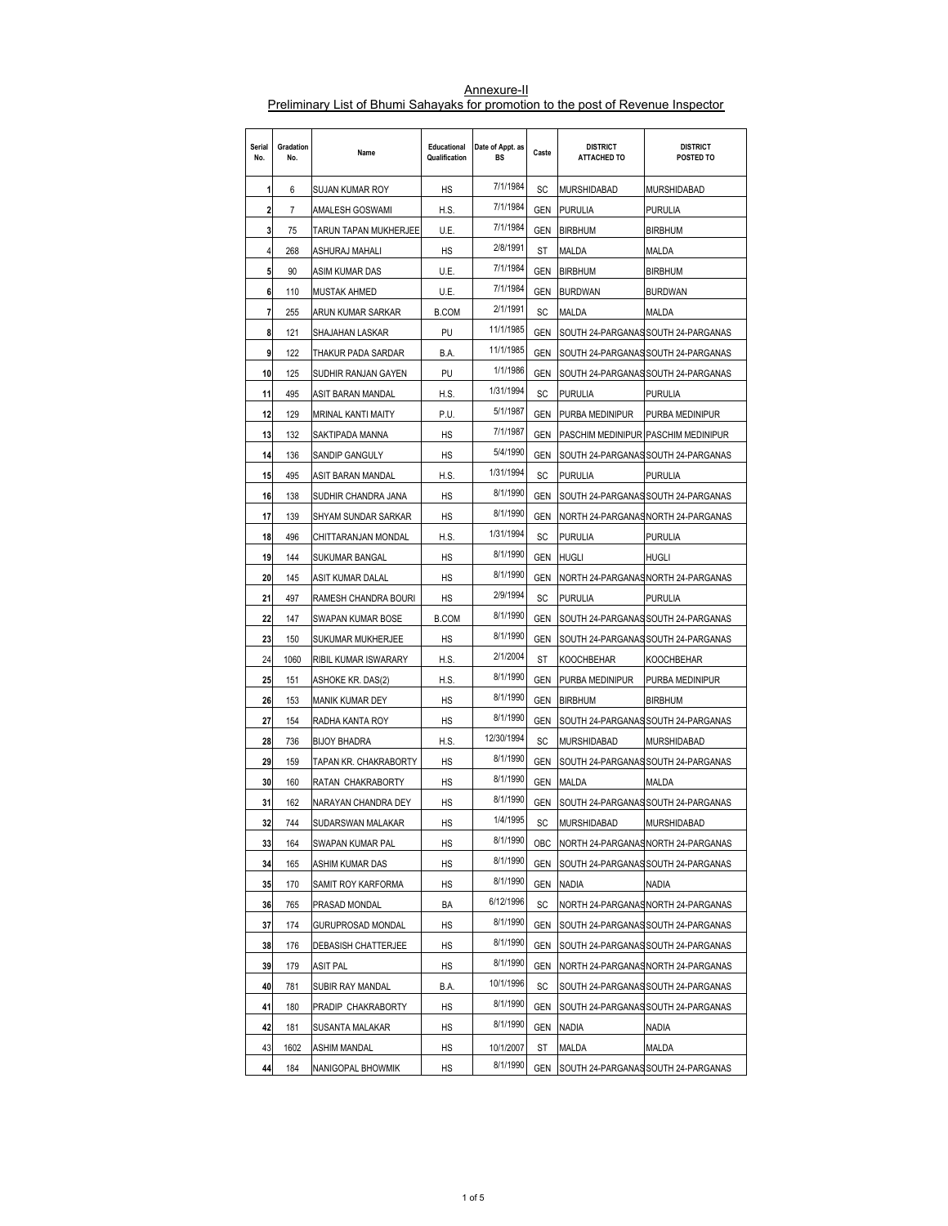| Serial<br>No. | Gradation<br>No. | Name                  | Educational<br>Qualification | Date of Appt. as<br>BS | Caste      | <b>DISTRICT</b><br><b>ATTACHED TO</b> | <b>DISTRICT</b><br>POSTED TO        |
|---------------|------------------|-----------------------|------------------------------|------------------------|------------|---------------------------------------|-------------------------------------|
| 1             | 6                | SUJAN KUMAR ROY       | НS                           | 7/1/1984               | SC         | <b>MURSHIDABAD</b>                    | MURSHIDABAD                         |
| 2             | 7                | AMALESH GOSWAMI       | H.S.                         | 7/1/1984               | <b>GEN</b> | <b>PURULIA</b>                        | PURULIA                             |
| 3             | 75               | TARUN TAPAN MUKHERJEE | U.E.                         | 7/1/1984               | GEN        | <b>BIRBHUM</b>                        | <b>BIRBHUM</b>                      |
| 4             | 268              | ASHURAJ MAHALI        | HS                           | 2/8/1991               | ST         | MALDA                                 | MALDA                               |
| 5             | 90               | ASIM KUMAR DAS        | U.E.                         | 7/1/1984               | GEN        | <b>BIRBHUM</b>                        | <b>BIRBHUM</b>                      |
| 6             | 110              | MUSTAK AHMED          | U.E.                         | 7/1/1984               | GEN        | <b>BURDWAN</b>                        | <b>BURDWAN</b>                      |
| 7             | 255              | ARUN KUMAR SARKAR     | <b>B.COM</b>                 | 2/1/1991               | SC         | MALDA                                 | MALDA                               |
| 8             | 121              | SHAJAHAN LASKAR       | PU                           | 11/1/1985              | GEN        |                                       | SOUTH 24-PARGANAS SOUTH 24-PARGANAS |
| 9             | 122              | THAKUR PADA SARDAR    | B.A.                         | 11/1/1985              | GEN        | SOUTH 24-PARGANAS SOUTH 24-PARGANAS   |                                     |
| 10            | 125              | SUDHIR RANJAN GAYEN   | PU                           | 1/1/1986               | GEN        |                                       | SOUTH 24-PARGANAS SOUTH 24-PARGANAS |
| 11            | 495              | ASIT BARAN MANDAL     | H.S.                         | 1/31/1994              | SC         | <b>PURULIA</b>                        | <b>PURULIA</b>                      |
| 12            | 129              | MRINAL KANTI MAITY    | P.U.                         | 5/1/1987               | <b>GEN</b> | PURBA MEDINIPUR                       | PURBA MEDINIPUR                     |
| 13            | 132              | SAKTIPADA MANNA       | HS                           | 7/1/1987               | GEN        | PASCHIM MEDINIPUR PASCHIM MEDINIPUR   |                                     |
| 14            | 136              | SANDIP GANGULY        | HS                           | 5/4/1990               | GEN        | SOUTH 24-PARGANAS SOUTH 24-PARGANAS   |                                     |
| 15            | 495              | ASIT BARAN MANDAL     | H.S.                         | 1/31/1994              | SC         | <b>PURULIA</b>                        | PURULIA                             |
| 16            | 138              | SUDHIR CHANDRA JANA   | НS                           | 8/1/1990               | GEN        | SOUTH 24-PARGANAS SOUTH 24-PARGANAS   |                                     |
| 17            | 139              | SHYAM SUNDAR SARKAR   | НS                           | 8/1/1990               | GEN        | NORTH 24-PARGANASNORTH 24-PARGANAS    |                                     |
| 18            | 496              | CHITTARANJAN MONDAL   | H.S.                         | 1/31/1994              | SC         | <b>PURULIA</b>                        | <b>PURULIA</b>                      |
| 19            | 144              | SUKUMAR BANGAL        | HS                           | 8/1/1990               | GEN        | <b>HUGLI</b>                          | HUGLI                               |
| 20            | 145              | ASIT KUMAR DALAL      | HS                           | 8/1/1990               | GEN        | NORTH 24-PARGANASNORTH 24-PARGANAS    |                                     |
| 21            | 497              | RAMESH CHANDRA BOURI  | НS                           | 2/9/1994               | SC         | <b>PURULIA</b>                        | <b>PURULIA</b>                      |
| 22            | 147              | SWAPAN KUMAR BOSE     | <b>B.COM</b>                 | 8/1/1990               | <b>GEN</b> |                                       | SOUTH 24-PARGANAS SOUTH 24-PARGANAS |
| 23            | 150              | SUKUMAR MUKHERJEE     | НS                           | 8/1/1990               | GEN        | SOUTH 24-PARGANAS SOUTH 24-PARGANAS   |                                     |
| 24            | 1060             | RIBIL KUMAR ISWARARY  | H.S.                         | 2/1/2004               | ST         | <b>KOOCHBEHAR</b>                     | KOOCHBEHAR                          |
| 25            | 151              | ASHOKE KR. DAS(2)     | H.S.                         | 8/1/1990               | GEN        | PURBA MEDINIPUR                       | PURBA MEDINIPUR                     |
| 26            | 153              | MANIK KUMAR DEY       | НS                           | 8/1/1990               | GEN        | <b>BIRBHUM</b>                        | <b>BIRBHUM</b>                      |
| 27            | 154              | RADHA KANTA ROY       | НS                           | 8/1/1990               | GEN        |                                       | SOUTH 24-PARGANAS SOUTH 24-PARGANAS |
| 28            | 736              | <b>BIJOY BHADRA</b>   | H.S.                         | 12/30/1994             | SC         | <b>MURSHIDABAD</b>                    | MURSHIDABAD                         |
| 29            | 159              | TAPAN KR. CHAKRABORTY | HS                           | 8/1/1990               | GEN        | SOUTH 24-PARGANAS SOUTH 24-PARGANAS   |                                     |
| 30            | 160              | RATAN CHAKRABORTY     | НS                           | 8/1/1990               | GEN        | MALDA                                 | MALDA                               |
| 31            | 162              | NARAYAN CHANDRA DEY   | НS                           | 8/1/1990               | GEN        | SOUTH 24-PARGANAS SOUTH 24-PARGANAS   |                                     |
| 32            | 744              | SUDARSWAN MALAKAR     | HS                           | 1/4/1995               | SC         | <b>MURSHIDABAD</b>                    | MURSHIDABAD                         |
| 33            | 164              | SWAPAN KUMAR PAL      | НS                           | 8/1/1990               | OBC        | NORTH 24-PARGANASNORTH 24-PARGANAS    |                                     |
| 34            | 165              | ASHIM KUMAR DAS       | HS                           | 8/1/1990               | GEN        | SOUTH 24-PARGANAS SOUTH 24-PARGANAS   |                                     |
| 35            | 170              | SAMIT ROY KARFORMA    | НS                           | 8/1/1990               | GEN        | <b>NADIA</b>                          | Nadia                               |
| 36            | 765              | PRASAD MONDAL         | BA                           | 6/12/1996              | SC         |                                       | NORTH 24-PARGANASNORTH 24-PARGANAS  |
| 37            | 174              | GURUPROSAD MONDAL     | НS                           | 8/1/1990               | GEN        |                                       | SOUTH 24-PARGANAS SOUTH 24-PARGANAS |
| 38            | 176              | DEBASISH CHATTERJEE   | НS                           | 8/1/1990               | GEN        | SOUTH 24-PARGANAS SOUTH 24-PARGANAS   |                                     |
| 39            | 179              | ASIT PAL              | НS                           | 8/1/1990               | GEN        |                                       | NORTH 24-PARGANAS NORTH 24-PARGANAS |
| 40            | 781              | SUBIR RAY MANDAL      | B.A.                         | 10/1/1996              | SC         |                                       | SOUTH 24-PARGANAS SOUTH 24-PARGANAS |
| 41            | 180              | PRADIP CHAKRABORTY    | НS                           | 8/1/1990               | GEN        | SOUTH 24-PARGANAS SOUTH 24-PARGANAS   |                                     |
| 42            | 181              | SUSANTA MALAKAR       | НS                           | 8/1/1990               | GEN        | <b>NADIA</b>                          | Nadia                               |
| 43            | 1602             | ASHIM MANDAL          | НS                           | 10/1/2007              | ST         | MALDA                                 | MALDA                               |
| 44            | 184              | NANIGOPAL BHOWMIK     | НS                           | 8/1/1990               | GEN        | SOUTH 24-PARGANAS SOUTH 24-PARGANAS   |                                     |

Annexure-II Preliminary List of Bhumi Sahayaks for promotion to the post of Revenue Inspector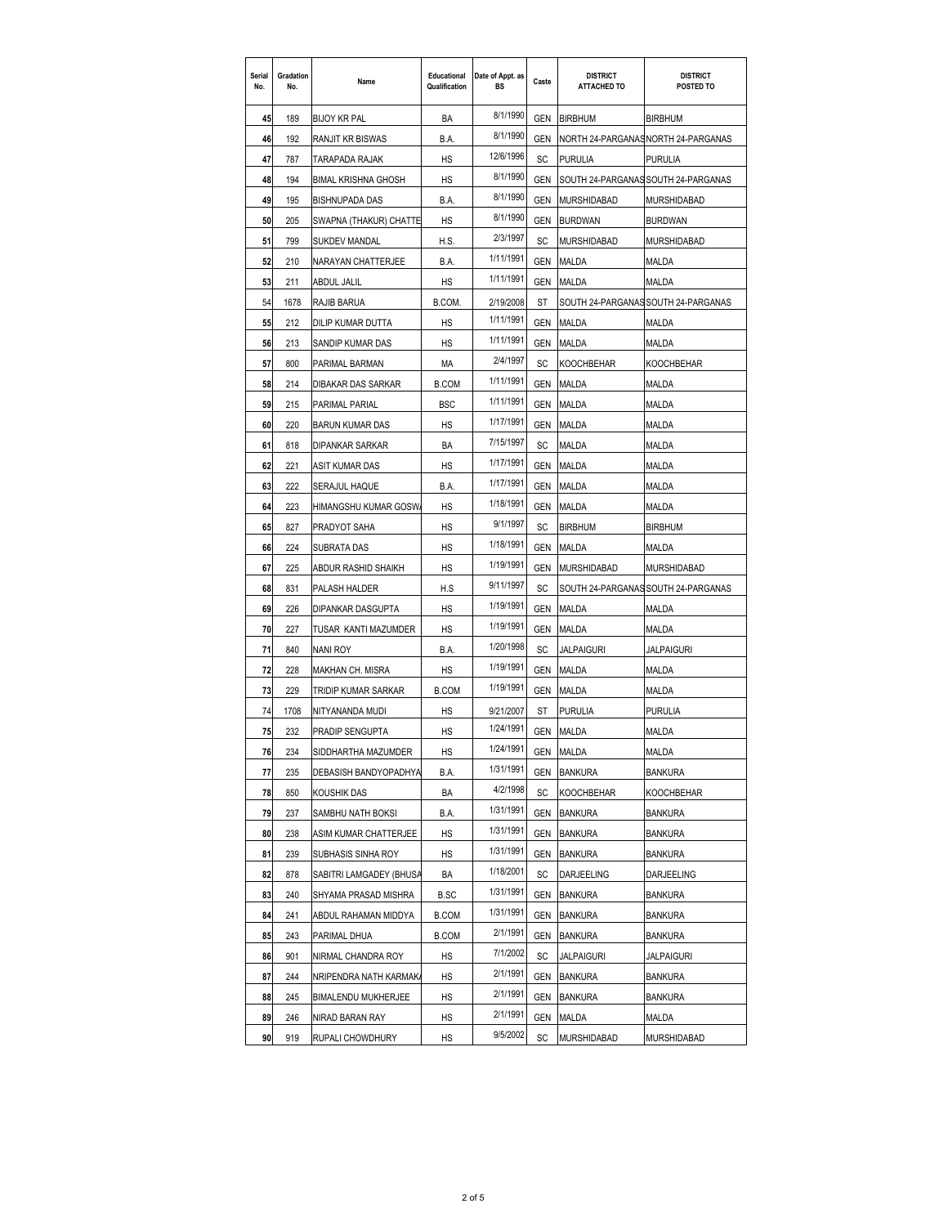| Serial<br>No. | Gradation<br>No. | Name                    | Educational<br>Qualification | Date of Appt. as<br><b>BS</b> | Caste      | <b>DISTRICT</b><br><b>ATTACHED TO</b> | <b>DISTRICT</b><br>POSTED TO        |
|---------------|------------------|-------------------------|------------------------------|-------------------------------|------------|---------------------------------------|-------------------------------------|
| 45            | 189              | BIJOY KR PAL            | BA                           | 8/1/1990                      | <b>GEN</b> | <b>BIRBHUM</b>                        | <b>BIRBHUM</b>                      |
| 46            | 192              | RANJIT KR BISWAS        | B.A.                         | 8/1/1990                      | <b>GEN</b> |                                       | NORTH 24-PARGANAS NORTH 24-PARGANAS |
| 47            | 787              | TARAPADA RAJAK          | HS                           | 12/6/1996                     | SC         | <b>PURULIA</b>                        | <b>PURULIA</b>                      |
| 48            | 194              | BIMAL KRISHNA GHOSH     | HS                           | 8/1/1990                      | GEN        |                                       | SOUTH 24-PARGANAS SOUTH 24-PARGANAS |
| 49            | 195              | BISHNUPADA DAS          | B.A.                         | 8/1/1990                      | GEN        | MURSHIDABAD                           | MURSHIDABAD                         |
| 50            | 205              | SWAPNA (THAKUR) CHATTE  | HS                           | 8/1/1990                      | GEN        | <b>BURDWAN</b>                        | <b>BURDWAN</b>                      |
| 51            | 799              | <b>SUKDEV MANDAL</b>    | H.S.                         | 2/3/1997                      | SC         | MURSHIDABAD                           | MURSHIDABAD                         |
| 52            | 210              | NARAYAN CHATTERJEE      | B.A.                         | 1/11/1991                     | GEN        | <b>MALDA</b>                          | MALDA                               |
| 53            | 211              | ABDUL JALIL             | HS                           | 1/11/1991                     | GEN        | MALDA                                 | MALDA                               |
| 54            | 1678             | RAJIB BARUA             | B.COM.                       | 2/19/2008                     | ST         |                                       | SOUTH 24-PARGANAS SOUTH 24-PARGANAS |
| 55            | 212              | DILIP KUMAR DUTTA       | HS                           | 1/11/1991                     | GEN        | MALDA                                 | MALDA                               |
| 56            | 213              | SANDIP KUMAR DAS        | HS                           | 1/11/1991                     | GEN        | MALDA                                 | MALDA                               |
| 57            | 800              | PARIMAL BARMAN          | МA                           | 2/4/1997                      | SC         | <b>KOOCHBEHAR</b>                     | KOOCHBEHAR                          |
| 58            | 214              | DIBAKAR DAS SARKAR      | <b>B.COM</b>                 | 1/11/1991                     | GEN        | MALDA                                 | MALDA                               |
| 59            | 215              | PARIMAL PARIAL          | <b>BSC</b>                   | 1/11/1991                     | GEN        | MALDA                                 | MALDA                               |
| 60            | 220              | <b>BARUN KUMAR DAS</b>  | HS                           | 1/17/1991                     | GEN        | <b>MALDA</b>                          | MALDA                               |
| 61            | 818              | DIPANKAR SARKAR         | BA                           | 7/15/1997                     | SC         | MALDA                                 | MALDA                               |
| 62            | 221              | ASIT KUMAR DAS          | HS                           | 1/17/1991                     | GEN        | MALDA                                 | MALDA                               |
| 63            | 222              | SERAJUL HAQUE           | B.A.                         | 1/17/1991                     | GEN        | MALDA                                 | MALDA                               |
| 64            | 223              | HIMANGSHU KUMAR GOSW    | HS                           | 1/18/1991                     | GEN        | MALDA                                 | MALDA                               |
| 65            | 827              | PRADYOT SAHA            | HS                           | 9/1/1997                      | SC         | <b>BIRBHUM</b>                        | <b>BIRBHUM</b>                      |
| 66            | 224              | SUBRATA DAS             | HS                           | 1/18/1991                     | <b>GEN</b> | MALDA                                 | MALDA                               |
| 67            | 225              | ABDUR RASHID SHAIKH     | HS                           | 1/19/1991                     | <b>GEN</b> | <b>MURSHIDABAD</b>                    | MURSHIDABAD                         |
| 68            | 831              | PALASH HALDER           | H.S                          | 9/11/1997                     | SC         |                                       | SOUTH 24-PARGANAS SOUTH 24-PARGANAS |
| 69            | 226              | DIPANKAR DASGUPTA       | HS                           | 1/19/1991                     | GEN        | MALDA                                 | Malda                               |
| 70            | 227              | TUSAR KANTI MAZUMDER    | HS                           | 1/19/1991                     | GEN        | MALDA                                 | MALDA                               |
| 71            | 840              | NANI ROY                | B.A.                         | 1/20/1998                     | SC         | JALPAIGURI                            | JALPAIGURI                          |
| 72            | 228              | MAKHAN CH. MISRA        | HS                           | 1/19/1991                     | GEN        | MALDA                                 | <b>MALDA</b>                        |
| 73            | 229              | TRIDIP KUMAR SARKAR     | <b>B.COM</b>                 | 1/19/1991                     | GEN        | <b>MALDA</b>                          | <b>MALDA</b>                        |
| 74            | 1708             | NITYANANDA MUDI         | HS                           | 9/21/2007                     | ST         | PURULIA                               | <b>PURULIA</b>                      |
| 75            | 232              | PRADIP SENGUPTA         | HS                           | 1/24/1991                     | GEN        | MALDA                                 | MALDA                               |
| 76            | 234              | SIDDHARTHA MAZUMDER     | HS                           | 1/24/1991                     |            | GEN MALDA                             | MALDA                               |
| 77            | 235              | DEBASISH BANDYOPADHYA   | B.A.                         | 1/31/1991                     | GEN        | <b>BANKURA</b>                        | BANKURA                             |
| 78            | 850              | KOUSHIK DAS             | BA                           | 4/2/1998                      | SC         | <b>KOOCHBEHAR</b>                     | KOOCHBEHAR                          |
| 79            | 237              | SAMBHU NATH BOKSI       | B.A.                         | 1/31/1991                     | GEN        | <b>BANKURA</b>                        | BANKURA                             |
| 80            | 238              | ASIM KUMAR CHATTERJEE   | НS                           | 1/31/1991                     | GEN        | <b>BANKURA</b>                        | <b>BANKURA</b>                      |
| 81            | 239              | SUBHASIS SINHA ROY      | НS                           | 1/31/1991                     | GEN        | <b>BANKURA</b>                        | BANKURA                             |
| 82            | 878              | SABITRI LAMGADEY (BHUSA | BA                           | 1/18/2001                     | SC         | DARJEELING                            | DARJEELING                          |
| 83            | 240              | SHYAMA PRASAD MISHRA    | B.SC                         | 1/31/1991                     | GEN        | <b>BANKURA</b>                        | <b>BANKURA</b>                      |
| 84            | 241              | ABDUL RAHAMAN MIDDYA    | <b>B.COM</b>                 | 1/31/1991                     | GEN        | <b>BANKURA</b>                        | BANKURA                             |
| 85            | 243              | PARIMAL DHUA            | <b>B.COM</b>                 | 2/1/1991                      | GEN        | <b>BANKURA</b>                        | BANKURA                             |
| 86            | 901              | NIRMAL CHANDRA ROY      | НS                           | 7/1/2002                      | SC         | JALPAIGURI                            | JALPAIGURI                          |
| 87            | 244              | NRIPENDRA NATH KARMAK   | НS                           | 2/1/1991                      | GEN        | <b>BANKURA</b>                        | BANKURA                             |
| 88            | 245              | BIMALENDU MUKHERJEE     | НS                           | 2/1/1991                      | GEN        | <b>BANKURA</b>                        | BANKURA                             |
| 89            | 246              | NIRAD BARAN RAY         | НS                           | 2/1/1991                      | GEN        | MALDA                                 | MALDA                               |
| 90            | 919              | RUPALI CHOWDHURY        | HS                           | 9/5/2002                      | SC         | MURSHIDABAD                           | MURSHIDABAD                         |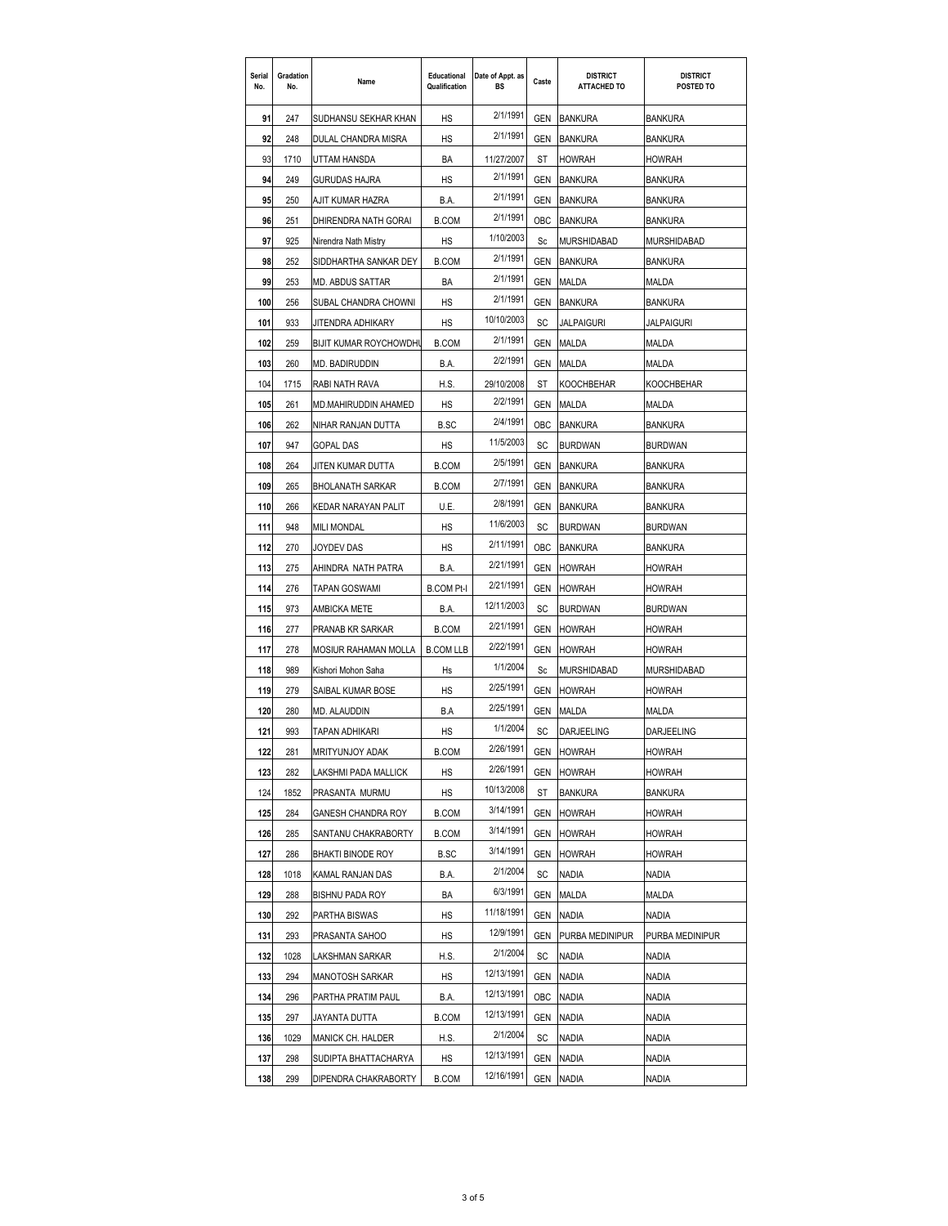| Serial<br>No. | Gradation<br>No. | Name                   | Educational<br>Qualification | Date of Appt. as<br>BS | Caste      | <b>DISTRICT</b><br><b>ATTACHED TO</b> | <b>DISTRICT</b><br>POSTED TO |
|---------------|------------------|------------------------|------------------------------|------------------------|------------|---------------------------------------|------------------------------|
| 91            | 247              | SUDHANSU SEKHAR KHAN   | <b>HS</b>                    | 2/1/1991               | <b>GEN</b> | <b>BANKURA</b>                        | BANKURA                      |
| 92            | 248              | DULAL CHANDRA MISRA    | HS                           | 2/1/1991               | GEN        | <b>BANKURA</b>                        | <b>BANKURA</b>               |
| 93            | 1710             | UTTAM HANSDA           | BA                           | 11/27/2007             | ST         | <b>HOWRAH</b>                         | HOWRAH                       |
| 94            | 249              | GURUDAS HAJRA          | НS                           | 2/1/1991               | GEN        | <b>BANKURA</b>                        | BANKURA                      |
| 95            | 250              | AJIT KUMAR HAZRA       | B.A.                         | 2/1/1991               | GEN        | <b>BANKURA</b>                        | <b>BANKURA</b>               |
| 96            | 251              | DHIRENDRA NATH GORAI   | <b>B.COM</b>                 | 2/1/1991               | OBC        | <b>BANKURA</b>                        | BANKURA                      |
| 97            | 925              | Nirendra Nath Mistry   | HS                           | 1/10/2003              | Sc         | MURSHIDABAD                           | MURSHIDABAD                  |
| 98            | 252              | SIDDHARTHA SANKAR DEY  | <b>B.COM</b>                 | 2/1/1991               | GEN        | <b>BANKURA</b>                        | BANKURA                      |
| 99            | 253              | MD. ABDUS SATTAR       | BA                           | 2/1/1991               | GEN        | MALDA                                 | MALDA                        |
| 100           | 256              | SUBAL CHANDRA CHOWNI   | HS                           | 2/1/1991               | GEN        | <b>BANKURA</b>                        | <b>BANKURA</b>               |
| 101           | 933              | JITENDRA ADHIKARY      | HS                           | 10/10/2003             | SC         | JALPAIGURI                            | JALPAIGURI                   |
| 102           | 259              | BIJIT KUMAR ROYCHOWDHI | <b>B.COM</b>                 | 2/1/1991               | GEN        | MALDA                                 | MALDA                        |
| 103           | 260              | MD. BADIRUDDIN         | B.A.                         | 2/2/1991               | GEN        | <b>MALDA</b>                          | MALDA                        |
| 104           | 1715             | RABI NATH RAVA         | H.S.                         | 29/10/2008             | ST         | <b>KOOCHBEHAR</b>                     | KOOCHBEHAR                   |
| 105           | 261              | MD.MAHIRUDDIN AHAMED   | HS                           | 2/2/1991               | GEN        | MALDA                                 | MALDA                        |
| 106           | 262              | NIHAR RANJAN DUTTA     | <b>B.SC</b>                  | 2/4/1991               | OBC        | <b>BANKURA</b>                        | BANKURA                      |
| 107           | 947              | GOPAL DAS              | HS                           | 11/5/2003              | SC         | <b>BURDWAN</b>                        | <b>BURDWAN</b>               |
| 108           | 264              | JITEN KUMAR DUTTA      | <b>B.COM</b>                 | 2/5/1991               | GEN        | BANKURA                               | BANKURA                      |
| 109           | 265              | BHOLANATH SARKAR       | <b>B.COM</b>                 | 2/7/1991               | GEN        | <b>BANKURA</b>                        | <b>BANKURA</b>               |
| 110           | 266              | KEDAR NARAYAN PALIT    | U.E.                         | 2/8/1991               | GEN        | <b>BANKURA</b>                        | <b>BANKURA</b>               |
| 111           | 948              | <b>MILI MONDAL</b>     | HS                           | 11/6/2003              | SC         | <b>BURDWAN</b>                        | BURDWAN                      |
| 112           | 270              | JOYDEV DAS             | HS                           | 2/11/1991              | OBC        | <b>BANKURA</b>                        | <b>BANKURA</b>               |
| 113           | 275              | AHINDRA NATH PATRA     | B.A.                         | 2/21/1991              | GEN        | <b>HOWRAH</b>                         | HOWRAH                       |
| 114           | 276              | TAPAN GOSWAMI          | <b>B.COM Pt-I</b>            | 2/21/1991              | GEN        | <b>HOWRAH</b>                         | HOWRAH                       |
| 115           | 973              | AMBICKA METE           | B.A.                         | 12/11/2003             | SC         | <b>BURDWAN</b>                        | <b>BURDWAN</b>               |
| 116           | 277              | PRANAB KR SARKAR       | <b>B.COM</b>                 | 2/21/1991              | GEN        | <b>HOWRAH</b>                         | HOWRAH                       |
| 117           | 278              | MOSIUR RAHAMAN MOLLA   | <b>B.COM LLB</b>             | 2/22/1991              | GEN        | <b>HOWRAH</b>                         | <b>HOWRAH</b>                |
| 118           | 989              | Kishori Mohon Saha     | Hs                           | 1/1/2004               | Sc         | MURSHIDABAD                           | MURSHIDABAD                  |
| 119           | 279              | SAIBAL KUMAR BOSE      | HS                           | 2/25/1991              | GEN        | <b>HOWRAH</b>                         | HOWRAH                       |
| 120           | 280              | MD. ALAUDDIN           | B.A                          | 2/25/1991              | GEN        | MALDA                                 | MALDA                        |
| 121           | 993              | TAPAN ADHIKARI         | HS                           | 1/1/2004               | SC         | <b>DARJEELING</b>                     | DARJEELING                   |
| 122           | 281              | <b>MRITYUNJOY ADAK</b> | <b>B.COM</b>                 | 2/26/1991              | GEN        | <b>HOWRAH</b>                         | <b>HOWRAH</b>                |
| 123           | 282              | LAKSHMI PADA MALLICK   | НS                           | 2/26/1991              | GEN        | <b>HOWRAH</b>                         | HOWRAH                       |
| 124           | 1852             | PRASANTA MURMU         | HS                           | 10/13/2008             | ST         | <b>BANKURA</b>                        | BANKURA                      |
| 125           | 284              | GANESH CHANDRA ROY     | <b>B.COM</b>                 | 3/14/1991              | GEN        | <b>HOWRAH</b>                         | HOWRAH                       |
| 126           | 285              | SANTANU CHAKRABORTY    | <b>B.COM</b>                 | 3/14/1991              | GEN        | <b>HOWRAH</b>                         | HOWRAH                       |
| 127           | 286              | BHAKTI BINODE ROY      | B.SC                         | 3/14/1991              | GEN        | <b>HOWRAH</b>                         | <b>HOWRAH</b>                |
| 128           | 1018             | KAMAL RANJAN DAS       | B.A.                         | 2/1/2004               | SC         | <b>NADIA</b>                          | Nadia                        |
| 129           | 288              | BISHNU PADA ROY        | BA                           | 6/3/1991               | GEN        | MALDA                                 | MALDA                        |
| 130           | 292              | PARTHA BISWAS          | НS                           | 11/18/1991             | GEN        | NADIA                                 | Nadia                        |
| 131           | 293              | PRASANTA SAHOO         | НS                           | 12/9/1991              | GEN        | PURBA MEDINIPUR                       | PURBA MEDINIPUR              |
| 132           | 1028             | LAKSHMAN SARKAR        | H.S.                         | 2/1/2004               | SC         | NADIA                                 | NADIA                        |
| 133           | 294              | MANOTOSH SARKAR        | НS                           | 12/13/1991             | GEN        | <b>NADIA</b>                          | Nadia                        |
| 134           | 296              | PARTHA PRATIM PAUL     | B.A.                         | 12/13/1991             | OBC        | NADIA                                 | <b>NADIA</b>                 |
| 135           | 297              | JAYANTA DUTTA          | <b>B.COM</b>                 | 12/13/1991             | GEN        | NADIA                                 | Nadia                        |
| 136           | 1029             | MANICK CH. HALDER      | H.S.                         | 2/1/2004               | SC         | NADIA                                 | Nadia                        |
| 137           | 298              | SUDIPTA BHATTACHARYA   | HS                           | 12/13/1991             | GEN        | NADIA                                 | Nadia                        |
| 138           | 299              | DIPENDRA CHAKRABORTY   | <b>B.COM</b>                 | 12/16/1991             | GEN        | <b>NADIA</b>                          | Nadia                        |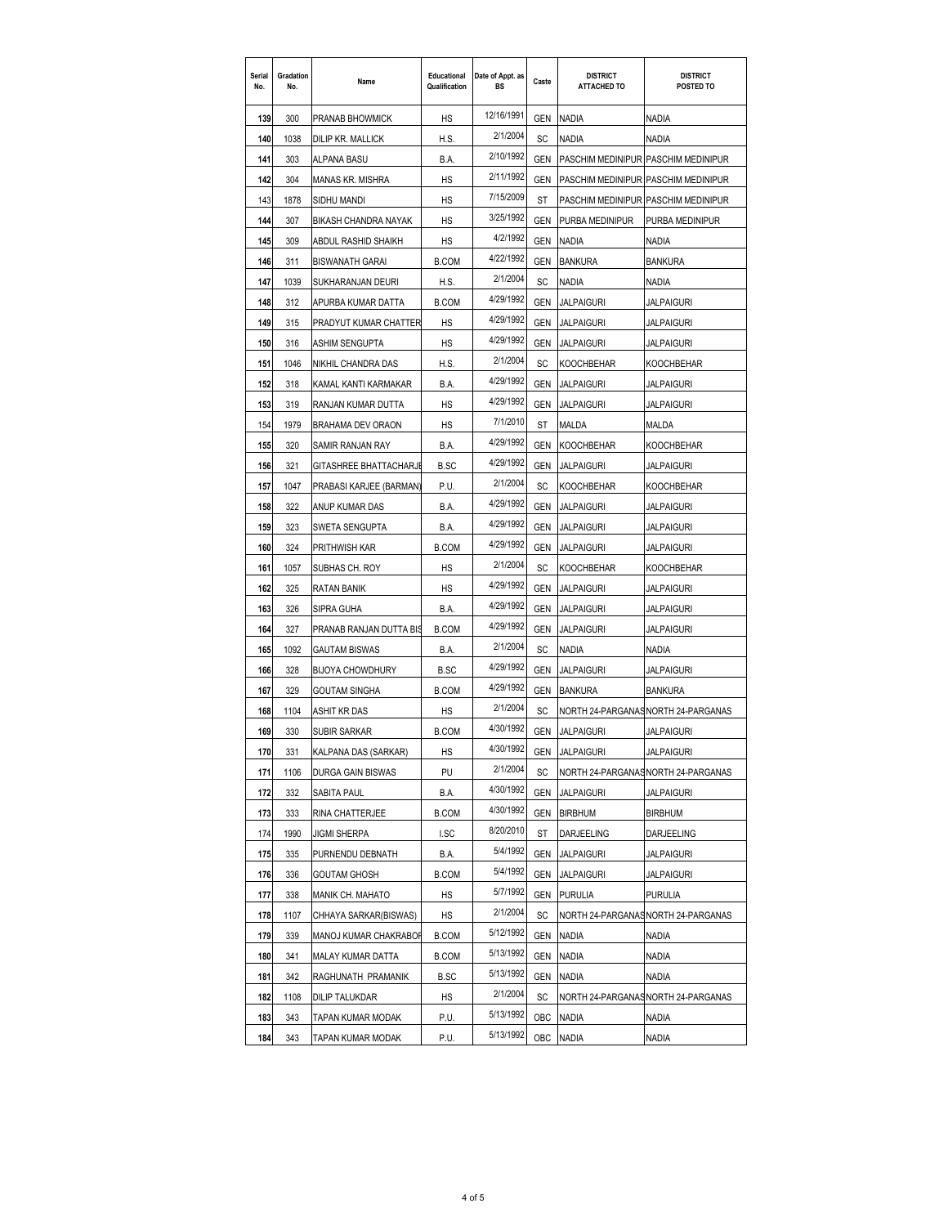| Serial<br>No. | Gradation<br>No. | Name                     | Educational<br>Qualification | Date of Appt. as<br>BS | Caste      | <b>DISTRICT</b><br><b>ATTACHED TO</b> | <b>DISTRICT</b><br>POSTED TO       |
|---------------|------------------|--------------------------|------------------------------|------------------------|------------|---------------------------------------|------------------------------------|
| 139           | 300              | PRANAB BHOWMICK          | HS                           | 12/16/1991             | GEN        | <b>NADIA</b>                          | Nadia                              |
| 140           | 1038             | DILIP KR. MALLICK        | H.S.                         | 2/1/2004               | SC         | <b>NADIA</b>                          | <b>NADIA</b>                       |
| 141           | 303              | ALPANA BASU              | B.A.                         | 2/10/1992              | <b>GEN</b> | PASCHIM MEDINIPUR PASCHIM MEDINIPUR   |                                    |
| 142           | 304              | MANAS KR. MISHRA         | НS                           | 2/11/1992              | GEN        | PASCHIM MEDINIPUR PASCHIM MEDINIPUR   |                                    |
| 143           | 1878             | SIDHU MANDI              | HS                           | 7/15/2009              | ST         | PASCHIM MEDINIPUR PASCHIM MEDINIPUR   |                                    |
| 144           | 307              | BIKASH CHANDRA NAYAK     | <b>HS</b>                    | 3/25/1992              | GEN        | PURBA MEDINIPUR                       | PURBA MEDINIPUR                    |
| 145           | 309              | ABDUL RASHID SHAIKH      | HS                           | 4/2/1992               | GEN        | NADIA                                 | NADIA                              |
| 146           | 311              | <b>BISWANATH GARAI</b>   | <b>B.COM</b>                 | 4/22/1992              | GEN        | <b>BANKURA</b>                        | BANKURA                            |
| 147           | 1039             | SUKHARANJAN DEURI        | H.S.                         | 2/1/2004               | SC         | Nadia                                 | Nadia                              |
| 148           | 312              | APURBA KUMAR DATTA       | <b>B.COM</b>                 | 4/29/1992              | GEN        | JALPAIGURI                            | JALPAIGURI                         |
| 149           | 315              | PRADYUT KUMAR CHATTER    | HS                           | 4/29/1992              | GEN        | <b>JALPAIGURI</b>                     | <b>JALPAIGURI</b>                  |
| 150           | 316              | ASHIM SENGUPTA           | <b>HS</b>                    | 4/29/1992              | GEN        | JALPAIGURI                            | JALPAIGURI                         |
| 151           | 1046             | NIKHIL CHANDRA DAS       | H.S.                         | 2/1/2004               | SC         | KOOCHBEHAR                            | KOOCHBEHAR                         |
| 152           | 318              | KAMAL KANTI KARMAKAR     | B.A.                         | 4/29/1992              | GEN        | JALPAIGURI                            | Jalpaiguri                         |
| 153           | 319              | RANJAN KUMAR DUTTA       | HS                           | 4/29/1992              | GEN        | <b>JALPAIGURI</b>                     | JALPAIGURI                         |
| 154           | 1979             | <b>BRAHAMA DEV ORAON</b> | HS                           | 7/1/2010               | ST         | MALDA                                 | MALDA                              |
| 155           | 320              | SAMIR RANJAN RAY         | B.A.                         | 4/29/1992              | <b>GEN</b> | <b>KOOCHBEHAR</b>                     | KOOCHBEHAR                         |
| 156           | 321              | GITASHREE BHATTACHARJI   | B.SC                         | 4/29/1992              | GEN        | <b>JALPAIGURI</b>                     | JALPAIGURI                         |
| 157           | 1047             | PRABASI KARJEE (BARMAN   | P.U.                         | 2/1/2004               | SC         | KOOCHBEHAR                            | KOOCHBEHAR                         |
| 158           | 322              | ANUP KUMAR DAS           | B.A.                         | 4/29/1992              | GEN        | JALPAIGURI                            | JALPAIGURI                         |
| 159           | 323              | SWETA SENGUPTA           | B.A.                         | 4/29/1992              | GEN        | <b>JALPAIGURI</b>                     | <b>JALPAIGURI</b>                  |
| 160           | 324              | PRITHWISH KAR            | <b>B.COM</b>                 | 4/29/1992              | GEN        | JALPAIGURI                            | JALPAIGURI                         |
| 161           | 1057             | SUBHAS CH. ROY           | HS                           | 2/1/2004               | SC         | KOOCHBEHAR                            | KOOCHBEHAR                         |
| 162           | 325              | RATAN BANIK              | НS                           | 4/29/1992              | GEN        | JALPAIGURI                            | Jalpaiguri                         |
| 163           | 326              | SIPRA GUHA               | B.A.                         | 4/29/1992              | GEN        | JALPAIGURI                            | JALPAIGURI                         |
| 164           | 327              | PRANAB RANJAN DUTTA BIS  | <b>B.COM</b>                 | 4/29/1992              | GEN        | <b>JALPAIGURI</b>                     | <b>JALPAIGURI</b>                  |
| 165           | 1092             | <b>GAUTAM BISWAS</b>     | B.A.                         | 2/1/2004               | SC         | NADIA                                 | <b>NADIA</b>                       |
| 166           | 328              | <b>BIJOYA CHOWDHURY</b>  | <b>B.SC</b>                  | 4/29/1992              | <b>GEN</b> | JALPAIGURI                            | <b>JALPAIGURI</b>                  |
| 167           | 329              | GOUTAM SINGHA            | <b>B.COM</b>                 | 4/29/1992              | GEN        | <b>BANKURA</b>                        | BANKURA                            |
| 168           | 1104             | ASHIT KR DAS             | HS                           | 2/1/2004               | SC         |                                       | NORTH 24-PARGANASNORTH 24-PARGANAS |
| 169           | 330              | SUBIR SARKAR             | <b>B.COM</b>                 | 4/30/1992              | GEN        | <b>JALPAIGURI</b>                     | <b>JALPAIGURI</b>                  |
| 170           | 331              | KALPANA DAS (SARKAR)     | НS                           | 4/30/1992              | GEN        | JALPAIGURI                            | <b>JALPAIGURI</b>                  |
| 171           | 1106             | DURGA GAIN BISWAS        | PU                           | 2/1/2004               | SC         |                                       | NORTH 24-PARGANASNORTH 24-PARGANAS |
| 172           | 332              | SABITA PAUL              | B.A.                         | 4/30/1992              | GEN        | <b>JALPAIGURI</b>                     | JALPAIGURI                         |
| 173           | 333              | RINA CHATTERJEE          | <b>B.COM</b>                 | 4/30/1992              | GEN        | <b>BIRBHUM</b>                        | <b>BIRBHUM</b>                     |
| 174           | 1990             | JIGMI SHERPA             | I.SC                         | 8/20/2010              | ST         | DARJEELING                            | DARJEELING                         |
| 175           | 335              | PURNENDU DEBNATH         | B.A.                         | 5/4/1992               | GEN        | <b>JALPAIGURI</b>                     | JALPAIGURI                         |
| 176           | 336              | GOUTAM GHOSH             | <b>B.COM</b>                 | 5/4/1992               | GEN        | <b>JALPAIGURI</b>                     | <b>JALPAIGURI</b>                  |
| 177           | 338              | MANIK CH. MAHATO         | НS                           | 5/7/1992               | GEN        | <b>PURULIA</b>                        | PURULIA                            |
| 178           | 1107             | CHHAYA SARKAR(BISWAS)    | НS                           | 2/1/2004               | SC         |                                       | NORTH 24-PARGANASNORTH 24-PARGANAS |
| 179           | 339              | MANOJ KUMAR CHAKRABOF    | <b>B.COM</b>                 | 5/12/1992              | GEN        | <b>NADIA</b>                          | NADIA                              |
| 180           | 341              | MALAY KUMAR DATTA        | <b>B.COM</b>                 | 5/13/1992              | GEN        | <b>NADIA</b>                          | NADIA                              |
| 181           | 342              | RAGHUNATH PRAMANIK       | B.SC                         | 5/13/1992              | GEN        | <b>NADIA</b>                          | NADIA                              |
| 182           | 1108             | DILIP TALUKDAR           | HS                           | 2/1/2004               | SC         |                                       | NORTH 24-PARGANASNORTH 24-PARGANAS |
| 183           | 343              | TAPAN KUMAR MODAK        | P.U.                         | 5/13/1992              | OBC        | NADIA                                 | Nadia                              |
| 184           | 343              | TAPAN KUMAR MODAK        | P.U.                         | 5/13/1992              | <b>OBC</b> | <b>NADIA</b>                          | NADIA                              |